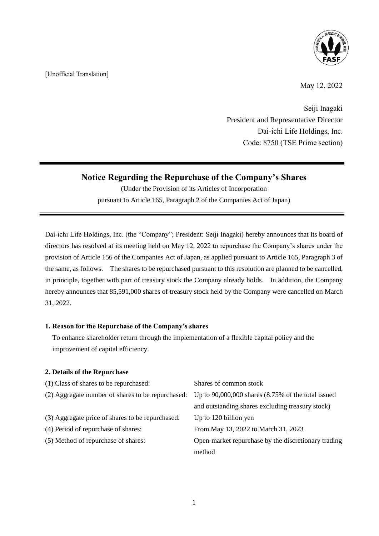[Unofficial Translation]



May 12, 2022

Seiji Inagaki President and Representative Director Dai-ichi Life Holdings, Inc. Code: 8750 (TSE Prime section)

# **Notice Regarding the Repurchase of the Company's Shares**

(Under the Provision of its Articles of Incorporation pursuant to Article 165, Paragraph 2 of the Companies Act of Japan)

Dai-ichi Life Holdings, Inc. (the "Company"; President: Seiji Inagaki) hereby announces that its board of directors has resolved at its meeting held on May 12, 2022 to repurchase the Company's shares under the provision of Article 156 of the Companies Act of Japan, as applied pursuant to Article 165, Paragraph 3 of the same, as follows. The shares to be repurchased pursuant to this resolution are planned to be cancelled, in principle, together with part of treasury stock the Company already holds. In addition, the Company hereby announces that 85,591,000 shares of treasury stock held by the Company were cancelled on March 31, 2022.

## **1. Reason for the Repurchase of the Company's shares**

To enhance shareholder return through the implementation of a flexible capital policy and the improvement of capital efficiency.

## **2. Details of the Repurchase**

| (1) Class of shares to be repurchased:           | Shares of common stock                                                                                    |
|--------------------------------------------------|-----------------------------------------------------------------------------------------------------------|
|                                                  | (2) Aggregate number of shares to be repurchased: Up to $90,000,000$ shares $(8.75\%$ of the total issued |
|                                                  | and outstanding shares excluding treasury stock)                                                          |
| (3) Aggregate price of shares to be repurchased: | Up to 120 billion yen                                                                                     |
| (4) Period of repurchase of shares:              | From May 13, 2022 to March 31, 2023                                                                       |
| (5) Method of repurchase of shares:              | Open-market repurchase by the discretionary trading                                                       |
|                                                  | method                                                                                                    |